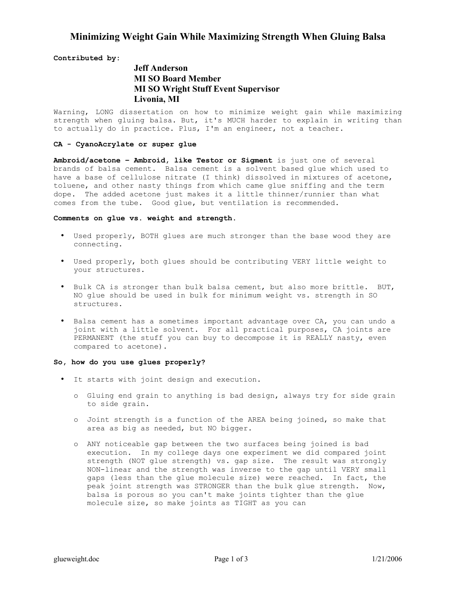## **Minimizing Weight Gain While Maximizing Strength When Gluing Balsa**

**Contributed by:** 

# **Jeff Anderson MI SO Board Member MI SO Wright Stuff Event Supervisor Livonia, MI**

Warning, LONG dissertation on how to minimize weight gain while maximizing strength when gluing balsa. But, it's MUCH harder to explain in writing than to actually do in practice. Plus, I'm an engineer, not a teacher.

### **CA - CyanoAcrylate or super glue**

**Ambroid/acetone – Ambroid, like Testor or Sigment** is just one of several brands of balsa cement. Balsa cement is a solvent based glue which used to have a base of cellulose nitrate (I think) dissolved in mixtures of acetone, toluene, and other nasty things from which came glue sniffing and the term dope. The added acetone just makes it a little thinner/runnier than what comes from the tube. Good glue, but ventilation is recommended.

#### **Comments on glue vs. weight and strength.**

- Used properly, BOTH glues are much stronger than the base wood they are connecting.
- Used properly, both glues should be contributing VERY little weight to your structures.
- Bulk CA is stronger than bulk balsa cement, but also more brittle. BUT, NO glue should be used in bulk for minimum weight vs. strength in SO structures.
- Balsa cement has a sometimes important advantage over CA, you can undo a joint with a little solvent. For all practical purposes, CA joints are PERMANENT (the stuff you can buy to decompose it is REALLY nasty, even compared to acetone).

### **So, how do you use glues properly?**

- It starts with joint design and execution.
	- o Gluing end grain to anything is bad design, always try for side grain to side grain.
	- o Joint strength is a function of the AREA being joined, so make that area as big as needed, but NO bigger.
	- o ANY noticeable gap between the two surfaces being joined is bad execution. In my college days one experiment we did compared joint strength (NOT glue strength) vs. gap size. The result was strongly NON-linear and the strength was inverse to the gap until VERY small gaps (less than the glue molecule size) were reached. In fact, the peak joint strength was STRONGER than the bulk glue strength. Now, balsa is porous so you can't make joints tighter than the glue molecule size, so make joints as TIGHT as you can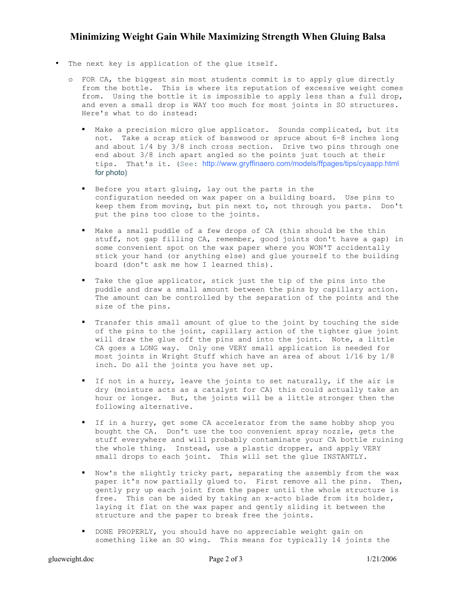# **Minimizing Weight Gain While Maximizing Strength When Gluing Balsa**

- The next key is application of the glue itself.
	- o FOR CA, the biggest sin most students commit is to apply glue directly from the bottle. This is where its reputation of excessive weight comes from. Using the bottle it is impossible to apply less than a full drop, and even a small drop is WAY too much for most joints in SO structures. Here's what to do instead:
		- " Make a precision micro glue applicator. Sounds complicated, but its not. Take a scrap stick of basswood or spruce about 6-8 inches long and about 1/4 by 3/8 inch cross section. Drive two pins through one end about 3/8 inch apart angled so the points just touch at their tips. That's it. (See: http://www.gryffinaero.com/models/ffpages/tips/cyaapp.html for photo)
		- Before you start gluing, lay out the parts in the configuration needed on wax paper on a building board. Use pins to keep them from moving, but pin next to, not through you parts. Don't put the pins too close to the joints.
		- Make a small puddle of a few drops of CA (this should be the thin stuff, not gap filling CA, remember, good joints don't have a gap) in some convenient spot on the wax paper where you WON'T accidentally stick your hand (or anything else) and glue yourself to the building board (don't ask me how I learned this).
		- Take the glue applicator, stick just the tip of the pins into the puddle and draw a small amount between the pins by capillary action. The amount can be controlled by the separation of the points and the size of the pins.
		- Transfer this small amount of glue to the joint by touching the side of the pins to the joint, capillary action of the tighter glue joint will draw the glue off the pins and into the joint. Note, a little CA goes a LONG way. Only one VERY small application is needed for most joints in Wright Stuff which have an area of about 1/16 by 1/8 inch. Do all the joints you have set up.
		- If not in a hurry, leave the joints to set naturally, if the air is dry (moisture acts as a catalyst for CA) this could actually take an hour or longer. But, the joints will be a little stronger then the following alternative.
		- If in a hurry, get some CA accelerator from the same hobby shop you bought the CA. Don't use the too convenient spray nozzle, gets the stuff everywhere and will probably contaminate your CA bottle ruining the whole thing. Instead, use a plastic dropper, and apply VERY small drops to each joint. This will set the glue INSTANTLY.
		- Now's the slightly tricky part, separating the assembly from the wax paper it's now partially glued to. First remove all the pins. Then, gently pry up each joint from the paper until the whole structure is free. This can be aided by taking an x-acto blade from its holder, laying it flat on the wax paper and gently sliding it between the structure and the paper to break free the joints.
		- DONE PROPERLY, you should have no appreciable weight gain on something like an SO wing. This means for typically 14 joints the